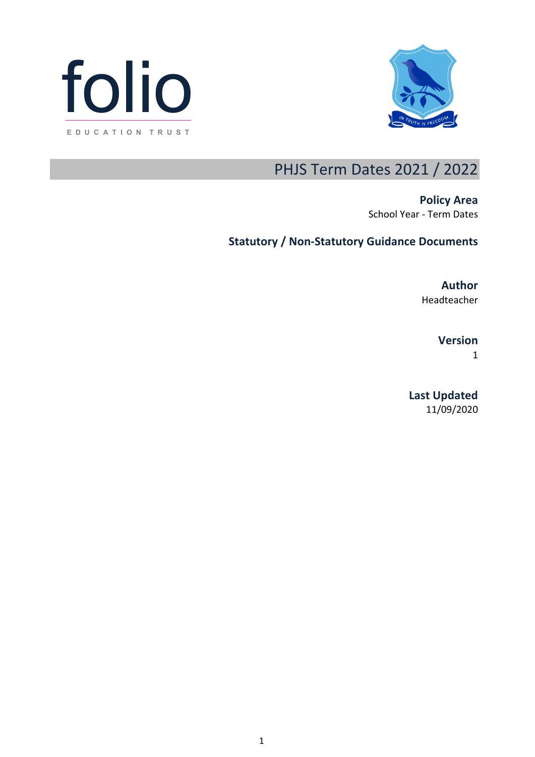



## PHJS Term Dates 2021 / 2022

**Policy Area** School Year - Term Dates

## **Statutory / Non-Statutory Guidance Documents**

**Author**

Headteacher

**Version**

1

**Last Updated** 11/09/2020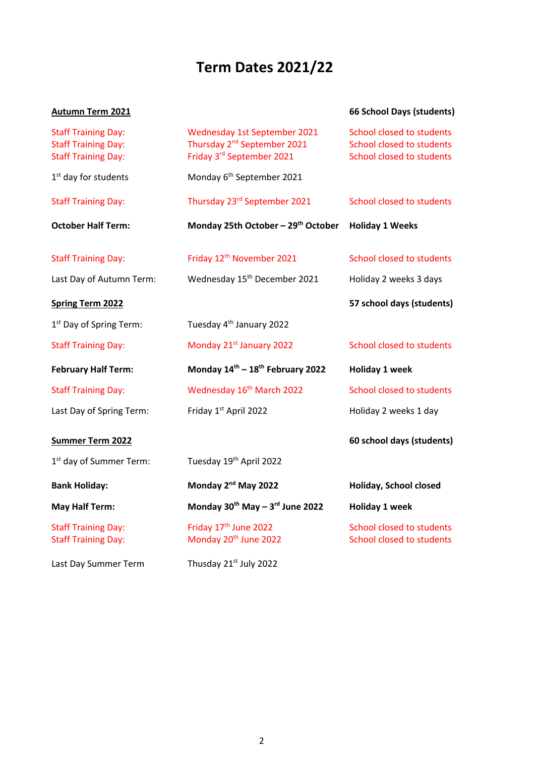# **Term Dates 2021/22**

### **Autumn Term 2021 66 School Days (students)**

| 66 School Days (students) |
|---------------------------|
|---------------------------|

| <b>Staff Training Day:</b><br><b>Staff Training Day:</b><br><b>Staff Training Day:</b> | Wednesday 1st September 2021<br>Thursday 2 <sup>nd</sup> September 2021<br>Friday 3rd September 2021 | <b>School closed to students</b><br>School closed to students<br>School closed to students |
|----------------------------------------------------------------------------------------|------------------------------------------------------------------------------------------------------|--------------------------------------------------------------------------------------------|
| 1 <sup>st</sup> day for students                                                       | Monday 6 <sup>th</sup> September 2021                                                                |                                                                                            |
| <b>Staff Training Day:</b>                                                             | Thursday 23rd September 2021                                                                         | School closed to students                                                                  |
| <b>October Half Term:</b>                                                              | Monday 25th October - 29th October                                                                   | <b>Holiday 1 Weeks</b>                                                                     |
| <b>Staff Training Day:</b>                                                             | Friday 12 <sup>th</sup> November 2021                                                                | School closed to students                                                                  |
| Last Day of Autumn Term:                                                               | Wednesday 15 <sup>th</sup> December 2021                                                             | Holiday 2 weeks 3 days                                                                     |
| <b>Spring Term 2022</b>                                                                |                                                                                                      | 57 school days (students)                                                                  |
| 1 <sup>st</sup> Day of Spring Term:                                                    | Tuesday 4 <sup>th</sup> January 2022                                                                 |                                                                                            |
| <b>Staff Training Day:</b>                                                             | Monday 21st January 2022                                                                             | School closed to students                                                                  |
| <b>February Half Term:</b>                                                             | Monday 14th - 18th February 2022                                                                     | <b>Holiday 1 week</b>                                                                      |
| <b>Staff Training Day:</b>                                                             | Wednesday 16 <sup>th</sup> March 2022                                                                | School closed to students                                                                  |
| Last Day of Spring Term:                                                               | Friday 1st April 2022                                                                                | Holiday 2 weeks 1 day                                                                      |
| <b>Summer Term 2022</b>                                                                |                                                                                                      | 60 school days (students)                                                                  |
| 1 <sup>st</sup> day of Summer Term:                                                    | Tuesday 19th April 2022                                                                              |                                                                                            |
| <b>Bank Holiday:</b>                                                                   | Monday 2 <sup>nd</sup> May 2022                                                                      | Holiday, School closed                                                                     |
| <b>May Half Term:</b>                                                                  | Monday 30 <sup>th</sup> May - 3 <sup>rd</sup> June 2022                                              | <b>Holiday 1 week</b>                                                                      |
| <b>Staff Training Day:</b><br><b>Staff Training Day:</b>                               | Friday 17 <sup>th</sup> June 2022<br>Monday 20 <sup>th</sup> June 2022                               | School closed to students<br>School closed to students                                     |
| Last Day Summer Term                                                                   | Thusday 21st July 2022                                                                               |                                                                                            |